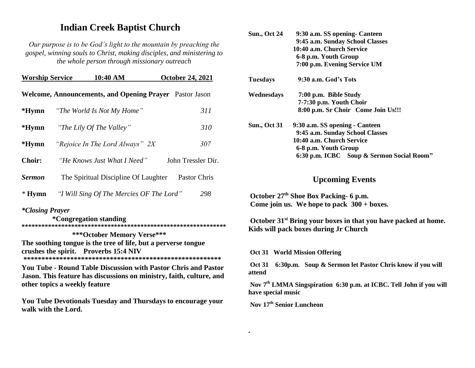# **Indian Creek Baptist Church**

*Our purpose is to be God's light to the mountain by preaching the gospel, winning souls to Christ, making disciples, and ministering to the whole person through missionary outreach*

| <b>Worship Service</b>                                         |  | 10:40 AM                                 |  | <b>October 24, 2021</b> |  |
|----------------------------------------------------------------|--|------------------------------------------|--|-------------------------|--|
| <b>Welcome, Announcements, and Opening Prayer</b> Pastor Jason |  |                                          |  |                         |  |
| *Hymn                                                          |  | "The World Is Not My Home"               |  | 311                     |  |
| $*Hymn$                                                        |  | "The Lily Of The Valley"                 |  | 310                     |  |
| $*Hvmn$                                                        |  | "Rejoice In The Lord Always" 2X          |  | 307                     |  |
| <b>Choir:</b>                                                  |  | "He Knows Just What I Need"              |  | John Tressler Dir.      |  |
| <b>Sermon</b>                                                  |  | The Spiritual Discipline Of Laughter     |  | Pastor Chris            |  |
| $*$ Hymn                                                       |  | "I Will Sing Of The Mercies OF The Lord" |  | 298                     |  |
|                                                                |  |                                          |  |                         |  |

### *\*Closing Prayer*

 **\*Congregation standing \*\*\*\*\*\*\*\*\*\*\*\*\*\*\*\*\*\*\*\*\*\*\*\*\*\*\*\*\*\*\*\*\*\*\*\*\*\*\*\*\*\*\*\*\*\*\*\*\*\*\*\*\*\*\*\*\*\*\*\*\*\***

 **\*\*\*October Memory Verse\*\*\* The soothing tongue is the tree of life, but a perverse tongue crushes the spirit. Proverbs 15:4 NIV \*\*\*\*\*\*\*\*\*\*\*\*\*\*\*\*\*\*\*\*\*\*\*\*\*\*\*\*\*\*\*\*\*\*\*\*\*\*\*\*\*\*\*\*\*\*\*\*\*\*\*\*\*\*\*** 

**You Tube - Round Table Discussion with Pastor Chris and Pastor Jason. This feature has discussions on ministry, faith, culture, and other topics a weekly feature**

**You Tube Devotionals Tuesday and Thursdays to encourage your walk with the Lord.**

| <b>Sun., Oct 24</b> | 9:30 a.m. SS opening - Canteen            |
|---------------------|-------------------------------------------|
|                     | 9:45 a.m. Sunday School Classes           |
|                     | 10:40 a.m. Church Service                 |
|                     | 6-8 p.m. Youth Group                      |
|                     | 7:00 p.m. Evening Service UM              |
| Tuesdays            | 9:30 a.m. God's Tots                      |
| Wednesdays          | 7:00 p.m. Bible Study                     |
|                     | 7-7:30 p.m. Youth Choir                   |
|                     | 8:00 p.m. Sr Choir Come Join Us!!!        |
| <b>Sun., Oct 31</b> | 9:30 a.m. SS opening - Canteen            |
|                     | 9:45 a.m. Sunday School Classes           |
|                     | 10:40 a.m. Church Service                 |
|                     | 6-8 p.m. Youth Group                      |
|                     | 6:30 p.m. ICBC Soup & Sermon Social Room" |
|                     |                                           |

## **Upcoming Events**

**October 27th Shoe Box Packing- 6 p.m. Come join us. We hope to pack 300 + boxes.** 

**October 31st Bring your boxes in that you have packed at home. Kids will pack boxes during Jr Church**

**Oct 31 World Mission Offering**

**Oct 31 6:30p.m. Soup & Sermon let Pastor Chris know if you will attend**

**Nov 7th LMMA Singspiration 6:30 p.m. at ICBC. Tell John if you will have special music**

**Nov 17 th Senior Luncheon**

**.**